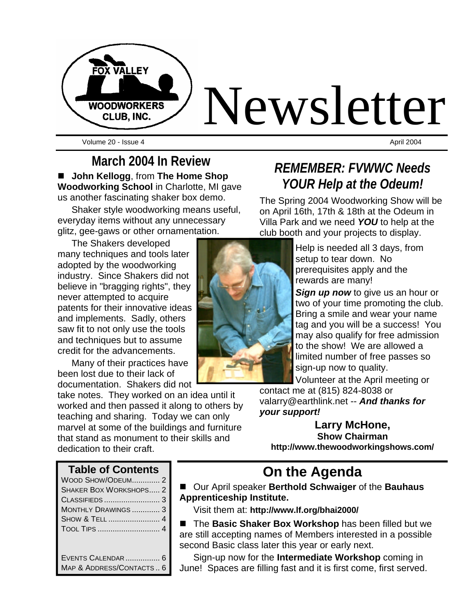

Volume 20 - Issue 4 April 2004

**March 2004 In Review**  ■ **John Kellogg**, from The Home Shop **Woodworking School** in Charlotte, MI gave us another fascinating shaker box demo.

Shaker style woodworking means useful, everyday items without any unnecessary glitz, gee-gaws or other ornamentation.

The Shakers developed many techniques and tools later adopted by the woodworking industry. Since Shakers did not believe in "bragging rights", they never attempted to acquire patents for their innovative ideas and implements. Sadly, others saw fit to not only use the tools and techniques but to assume credit for the advancements.

Many of their practices have been lost due to their lack of documentation. Shakers did not

take notes. They worked on an idea until it worked and then passed it along to others by teaching and sharing. Today we can only marvel at some of the buildings and furniture that stand as monument to their skills and dedication to their craft.



## *REMEMBER: FVWWC Needs YOUR Help at the Odeum!*

The Spring 2004 Woodworking Show will be on April 16th, 17th & 18th at the Odeum in Villa Park and we need *YOU* to help at the club booth and your projects to display.

> Help is needed all 3 days, from setup to tear down. No prerequisites apply and the rewards are many!

*Sign up now* to give us an hour or two of your time promoting the club. Bring a smile and wear your name tag and you will be a success! You may also qualify for free admission to the show! We are allowed a limited number of free passes so sign-up now to quality.

Volunteer at the April meeting or

contact me at (815) 824-8038 or valarry@earthlink.net -- *And thanks for your support!*

**Larry McHone, Show Chairman http://www.thewoodworkingshows.com/**

### **Table of Contents**

| WOOD SHOW/ODEUM2              |  |
|-------------------------------|--|
| <b>SHAKER BOX WORKSHOPS 2</b> |  |
|                               |  |
| MONTHLY DRAWINGS  3           |  |
| SHOW & TELL  4                |  |
|                               |  |
|                               |  |
|                               |  |
| EVENTS CALENDAR  6            |  |

MAP & ADDRESS/CONTACTS .. 6

# **On the Agenda**

■ Our April speaker **Berthold Schwaiger** of the **Bauhaus Apprenticeship Institute.**

Visit them at: **http://www.lf.org/bhai2000/**

■ The **Basic Shaker Box Workshop** has been filled but we are still accepting names of Members interested in a possible second Basic class later this year or early next.

Sign-up now for the **Intermediate Workshop** coming in June! Spaces are filling fast and it is first come, first served.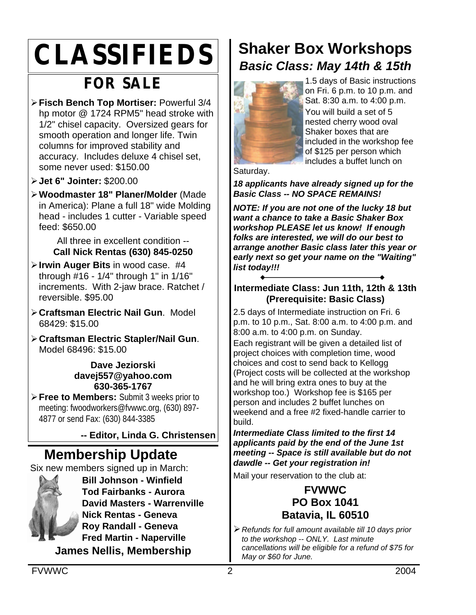# **CLASSIFIEDS**

# **FOR SALE**

- ÿ**Fisch Bench Top Mortiser:** Powerful 3/4 hp motor @ 1724 RPM5" head stroke with 1/2" chisel capacity. Oversized gears for smooth operation and longer life. Twin columns for improved stability and accuracy. Includes deluxe 4 chisel set, some never used: \$150.00
- ÿ**Jet 6" Jointer:** \$200.00
- ÿ**Woodmaster 18" Planer/Molder** (Made in America): Plane a full 18" wide Molding head - includes 1 cutter - Variable speed feed: \$650.00

All three in excellent condition -- **Call Nick Rentas (630) 845-0250**

- ÿ**Irwin Auger Bits** in wood case. #4 through #16 - 1/4" through 1" in 1/16" increments. With 2-jaw brace. Ratchet / reversible. \$95.00
- ÿ**Craftsman Electric Nail Gun**. Model 68429: \$15.00
- ÿ**Craftsman Electric Stapler/Nail Gun**. Model 68496: \$15.00

**Dave Jeziorski davej557@yahoo.com 630-365-1767**

**≻ Free to Members:** Submit 3 weeks prior to meeting: fwoodworkers@fvwwc.org, (630) 897- 4877 or send Fax: (630) 844-3385

**-- Editor, Linda G. Christensen**

## **Membership Update**

Six new members signed up in March:



**Bill Johnson - Winfield Tod Fairbanks - Aurora David Masters - Warrenville Nick Rentas - Geneva Roy Randall - Geneva Fred Martin - Naperville James Nellis, Membership**

# **Shaker Box Workshops** *Basic Class: May 14th & 15th*



1.5 days of Basic instructions on Fri. 6 p.m. to 10 p.m. and Sat. 8:30 a.m. to 4:00 p.m. You will build a set of 5 nested cherry wood oval Shaker boxes that are included in the workshop fee of \$125 per person which includes a buffet lunch on

Saturday.

*18 applicants have already signed up for the Basic Class -- NO SPACE REMAINS!*

*NOTE: If you are not one of the lucky 18 but want a chance to take a Basic Shaker Box workshop PLEASE let us know! If enough folks are interested, we will do our best to arrange another Basic class later this year or early next so get your name on the "Waiting" list today!!!*

### **Intermediate Class: Jun 11th, 12th & 13th (Prerequisite: Basic Class)**

2.5 days of Intermediate instruction on Fri. 6 p.m. to 10 p.m., Sat. 8:00 a.m. to 4:00 p.m. and 8:00 a.m. to 4:00 p.m. on Sunday.

Each registrant will be given a detailed list of project choices with completion time, wood choices and cost to send back to Kellogg (Project costs will be collected at the workshop and he will bring extra ones to buy at the workshop too.) Workshop fee is \$165 per person and includes 2 buffet lunches on weekend and a free #2 fixed-handle carrier to build.

*Intermediate Class limited to the first 14 applicants paid by the end of the June 1st meeting -- Space is still available but do not dawdle -- Get your registration in!*

Mail your reservation to the club at:

### **FVWWC PO Box 1041 Batavia, IL 60510**

ÿ*Refunds for full amount available till 10 days prior to the workshop -- ONLY. Last minute cancellations will be eligible for a refund of \$75 for May or \$60 for June.*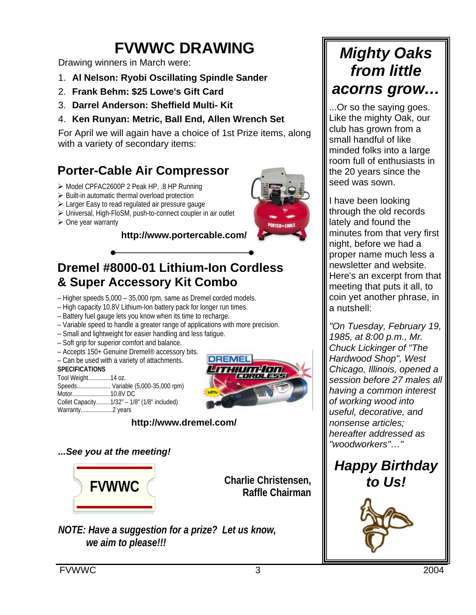# **FVWWC DRAWING**

Drawing winners in March were:

- 1. **Al Nelson: Ryobi Oscillating Spindle Sander**
- 2. **Frank Behm: \$25 Lowe's Gift Card**
- 3. **Darrel Anderson: Sheffield Multi- Kit**
- 4. **Ken Runyan: Metric, Ball End, Allen Wrench Set**

For April we will again have a choice of 1st Prize items, along with a variety of secondary items:

### **Porter-Cable Air Compressor**

- ÿ Model CPFAC2600P 2 Peak HP, .8 HP Running
- $\triangleright$  Built-in automatic thermal overload protection
- $\triangleright$  Larger Easy to read regulated air pressure gauge
- > Universal, High-FloSM, push-to-connect coupler in air outlet
- $\triangleright$  One year warranty

### **http://www.portercable.com/**

### **Dremel #8000-01 Lithium-Ion Cordless & Super Accessory Kit Combo**

– Higher speeds 5,000 – 35,000 rpm, same as Dremel corded models.

- High capacity 10.8V Lithium-Ion battery pack for longer run times.
- Battery fuel gauge lets you know when its time to recharge.
- Variable speed to handle a greater range of applications with more precision.
- Small and lightweight for easier handling and less fatigue.
- Soft grip for superior comfort and balance.
- Accepts 150+ Genuine Dremel® accessory bits.
- Can be used with a variety of attachments.

#### **SPECIFICATIONS**

| Tool Weight14 oz. |                                             |
|-------------------|---------------------------------------------|
|                   | Speeds Variable (5,000-35,000 rpm)          |
|                   |                                             |
|                   | Collet Capacity1/32" - 1/8" (1/8" included) |
|                   |                                             |



### **http://www.dremel.com/**

*...See you at the meeting!*



**Charlie Christensen, Raffle Chairman**

*NOTE: Have a suggestion for a prize? Let us know, we aim to please!!!*

# *Mighty Oaks from little acorns grow…*

...Or so the saying goes. Like the mighty Oak, our club has grown from a small handful of like minded folks into a large room full of enthusiasts in the 20 years since the seed was sown.

I have been looking through the old records lately and found the minutes from that very first night, before we had a proper name much less a newsletter and website. Here's an excerpt from that meeting that puts it all, to coin yet another phrase, in a nutshell:

*"On Tuesday, February 19, 1985, at 8:00 p.m., Mr. Chuck Lickinger of "The Hardwood Shop", West Chicago, Illinois, opened a session before 27 males all having a common interest of working wood into useful, decorative, and nonsense articles; hereafter addressed as "woodworkers"…"*

## *Happy Birthday to Us!*

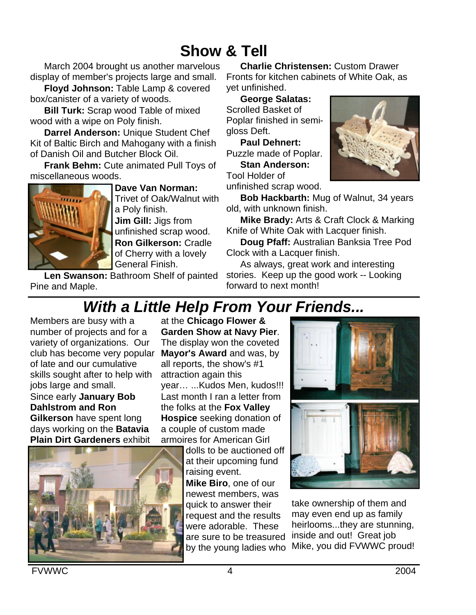# **Show & Tell**

March 2004 brought us another marvelous display of member's projects large and small.

**Floyd Johnson:** Table Lamp & covered box/canister of a variety of woods.

**Bill Turk:** Scrap wood Table of mixed wood with a wipe on Poly finish.

**Darrel Anderson:** Unique Student Chef Kit of Baltic Birch and Mahogany with a finish of Danish Oil and Butcher Block Oil.

**Frank Behm:** Cute animated Pull Toys of miscellaneous woods.



**Dave Van Norman:**  Trivet of Oak/Walnut with a Poly finish. **Jim Gill:** Jigs from unfinished scrap wood. **Ron Gilkerson:** Cradle of Cherry with a lovely General Finish.

Len Swanson: Bathroom Shelf of painted Pine and Maple.

**Charlie Christensen:** Custom Drawer Fronts for kitchen cabinets of White Oak, as yet unfinished.

**George Salatas:** Scrolled Basket of Poplar finished in semigloss Deft.

**Paul Dehnert:**  Puzzle made of Poplar.

**Stan Anderson:**  Tool Holder of unfinished scrap wood.



**Bob Hackbarth:** Mug of Walnut, 34 years old, with unknown finish.

**Mike Brady:** Arts & Craft Clock & Marking Knife of White Oak with Lacquer finish.

**Doug Pfaff:** Australian Banksia Tree Pod Clock with a Lacquer finish.

As always, great work and interesting stories. Keep up the good work -- Looking forward to next month!

# *With a Little Help From Your Friends...*

Members are busy with a number of projects and for a variety of organizations. Our club has become very popular of late and our cumulative skills sought after to help with jobs large and small.

Since early **January Bob Dahlstrom and Ron Gilkerson** have spent long days working on the **Batavia Plain Dirt Gardeners** exhibit



at the **Chicago Flower & Garden Show at Navy Pier**. The display won the coveted **Mayor's Award** and was, by all reports, the show's #1 attraction again this year… ...Kudos Men, kudos!!! Last month I ran a letter from the folks at the **Fox Valley Hospice** seeking donation of a couple of custom made armoires for American Girl

dolls to be auctioned off at their upcoming fund raising event. **Mike Biro**, one of our newest members, was quick to answer their request and the results were adorable. These are sure to be treasured



by the young ladies who Mike, you did FVWWC proud!take ownership of them and may even end up as family heirlooms...they are stunning, inside and out! Great job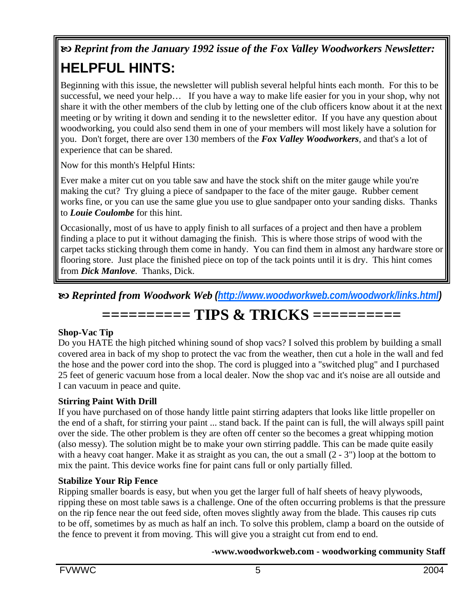# b *Reprint from the January 1992 issue of the Fox Valley Woodworkers Newsletter:* **HELPFUL HINTS:**

Beginning with this issue, the newsletter will publish several helpful hints each month. For this to be successful, we need your help… If you have a way to make life easier for you in your shop, why not share it with the other members of the club by letting one of the club officers know about it at the next meeting or by writing it down and sending it to the newsletter editor. If you have any question about woodworking, you could also send them in one of your members will most likely have a solution for you. Don't forget, there are over 130 members of the *Fox Valley Woodworkers*, and that's a lot of experience that can be shared.

Now for this month's Helpful Hints:

Ever make a miter cut on you table saw and have the stock shift on the miter gauge while you're making the cut? Try gluing a piece of sandpaper to the face of the miter gauge. Rubber cement works fine, or you can use the same glue you use to glue sandpaper onto your sanding disks. Thanks to *Louie Coulombe* for this hint.

Occasionally, most of us have to apply finish to all surfaces of a project and then have a problem finding a place to put it without damaging the finish. This is where those strips of wood with the carpet tacks sticking through them come in handy. You can find them in almost any hardware store or flooring store. Just place the finished piece on top of the tack points until it is dry. This hint comes from *Dick Manlove*. Thanks, Dick.

b *Reprinted from Woodwork Web (http://www.woodworkweb.com/woodwork/links.html)*

## **========== TIPS & TRICKS ==========**

### **Shop-Vac Tip**

Do you HATE the high pitched whining sound of shop vacs? I solved this problem by building a small covered area in back of my shop to protect the vac from the weather, then cut a hole in the wall and fed the hose and the power cord into the shop. The cord is plugged into a "switched plug" and I purchased 25 feet of generic vacuum hose from a local dealer. Now the shop vac and it's noise are all outside and I can vacuum in peace and quite.

### **Stirring Paint With Drill**

If you have purchased on of those handy little paint stirring adapters that looks like little propeller on the end of a shaft, for stirring your paint ... stand back. If the paint can is full, the will always spill paint over the side. The other problem is they are often off center so the becomes a great whipping motion (also messy). The solution might be to make your own stirring paddle. This can be made quite easily with a heavy coat hanger. Make it as straight as you can, the out a small  $(2 - 3)$  loop at the bottom to mix the paint. This device works fine for paint cans full or only partially filled.

### **Stabilize Your Rip Fence**

Ripping smaller boards is easy, but when you get the larger full of half sheets of heavy plywoods, ripping these on most table saws is a challenge. One of the often occurring problems is that the pressure on the rip fence near the out feed side, often moves slightly away from the blade. This causes rip cuts to be off, sometimes by as much as half an inch. To solve this problem, clamp a board on the outside of the fence to prevent it from moving. This will give you a straight cut from end to end.

### **-www.woodworkweb.com - woodworking community Staff**